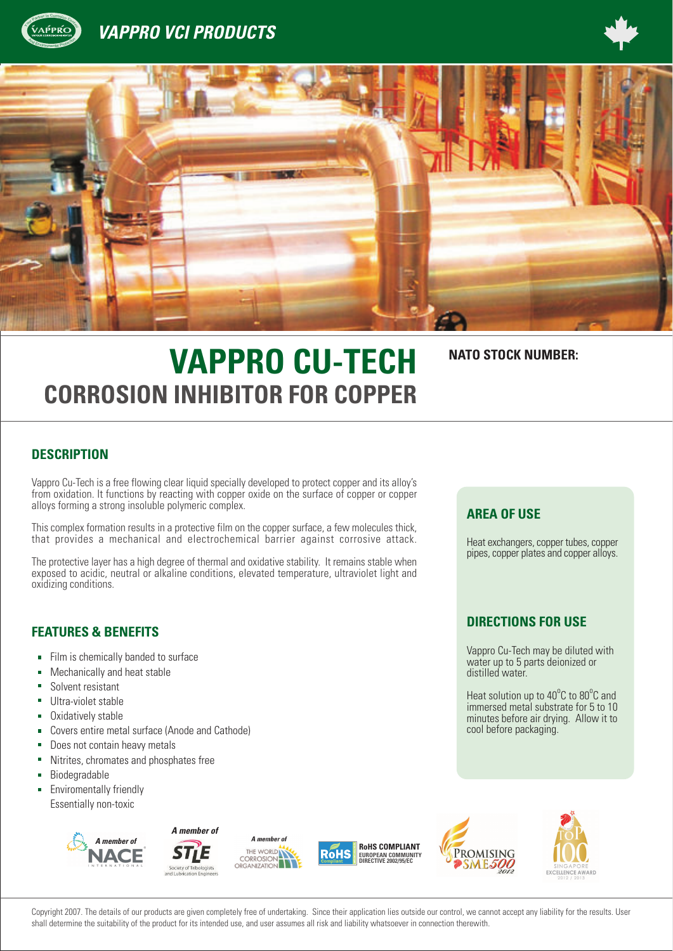

## **VAPPRO VCI PRODUCTS**





# **VAPPRO CU-TECH NATO STOCK NUMBER: CORROSION INHIBITOR FOR COPPER**

### **DESCRIPTION**

Vappro Cu-Tech is a free flowing clear liquid specially developed to protect copper and its alloy's from oxidation. It functions by reacting with copper oxide on the surface of copper or copper alloys forming a strong insoluble polymeric complex.

This complex formation results in a protective film on the copper surface, a few molecules thick, that provides a mechanical and electrochemical barrier against corrosive attack.

The protective layer has a high degree of thermal and oxidative stability. It remains stable when exposed to acidic, neutral or alkaline conditions, elevated temperature, ultraviolet light and oxidizing conditions.

#### **FEATURES & BENEFITS**

- Film is chemically banded to surface  $\mathbf{u}$
- Mechanically and heat stable
- Solvent resistant
- Ultra-violet stable
- Oxidatively stable
- Covers entire metal surface (Anode and Cathode)  $\blacksquare$
- Does not contain heavy metals
- Nitrites, chromates and phosphates free
- Biodegradable  $\blacksquare$
- Enviromentally friendly Essentially non-toxic





*A member of*









Copyright 2007. The details of our products are given completely free of undertaking. Since their application lies outside our control, we cannot accept any liability for the results. User shall determine the suitability of the product for its intended use, and user assumes all risk and liability whatsoever in connection therewith.

#### **AREA OF USE**

Heat exchangers, copper tubes, copper pipes, copper plates and copper alloys.

#### **DIRECTIONS FOR USE**

Vappro Cu-Tech may be diluted with water up to 5 parts deionized or distilled water.

Heat solution up to 40°C to 80°C and immersed metal substrate for 5 to 10 minutes before air drying. Allow it to cool before packaging.